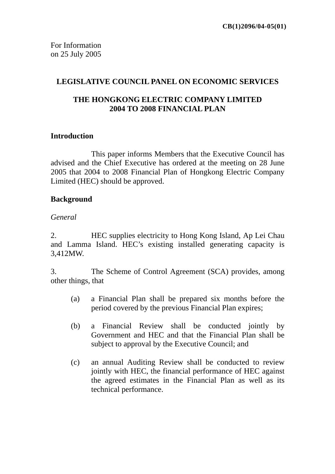#### **LEGISLATIVE COUNCIL PANEL ON ECONOMIC SERVICES**

## **THE HONGKONG ELECTRIC COMPANY LIMITED 2004 TO 2008 FINANCIAL PLAN**

#### **Introduction**

This paper informs Members that the Executive Council has advised and the Chief Executive has ordered at the meeting on 28 June 2005 that 2004 to 2008 Financial Plan of Hongkong Electric Company Limited (HEC) should be approved.

#### **Background**

#### *General*

2. HEC supplies electricity to Hong Kong Island, Ap Lei Chau and Lamma Island. HEC's existing installed generating capacity is 3,412MW.

3. The Scheme of Control Agreement (SCA) provides, among other things, that

- (a) a Financial Plan shall be prepared six months before the period covered by the previous Financial Plan expires;
- (b) a Financial Review shall be conducted jointly by Government and HEC and that the Financial Plan shall be subject to approval by the Executive Council; and
- (c) an annual Auditing Review shall be conducted to review jointly with HEC, the financial performance of HEC against the agreed estimates in the Financial Plan as well as its technical performance.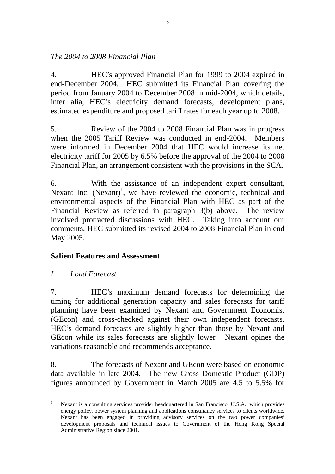## *The 2004 to 2008 Financial Plan*

4. HEC's approved Financial Plan for 1999 to 2004 expired in end-December 2004. HEC submitted its Financial Plan covering the period from January 2004 to December 2008 in mid-2004, which details, inter alia, HEC's electricity demand forecasts, development plans, estimated expenditure and proposed tariff rates for each year up to 2008.

5. Review of the 2004 to 2008 Financial Plan was in progress when the 2005 Tariff Review was conducted in end-2004. Members were informed in December 2004 that HEC would increase its net electricity tariff for 2005 by 6.5% before the approval of the 2004 to 2008 Financial Plan, an arrangement consistent with the provisions in the SCA.

6. With the assistance of an independent expert consultant, Nexant Inc.  $(Nexant)^1$ , we have reviewed the economic, technical and environmental aspects of the Financial Plan with HEC as part of the Financial Review as referred in paragraph 3(b) above. The review involved protracted discussions with HEC. Taking into account our comments, HEC submitted its revised 2004 to 2008 Financial Plan in end May 2005.

#### **Salient Features and Assessment**

*I. Load Forecast* 

 $\overline{a}$ 

7. HEC's maximum demand forecasts for determining the timing for additional generation capacity and sales forecasts for tariff planning have been examined by Nexant and Government Economist (GEcon) and cross-checked against their own independent forecasts. HEC's demand forecasts are slightly higher than those by Nexant and GEcon while its sales forecasts are slightly lower. Nexant opines the variations reasonable and recommends acceptance.

8. The forecasts of Nexant and GEcon were based on economic data available in late 2004. The new Gross Domestic Product (GDP) figures announced by Government in March 2005 are 4.5 to 5.5% for

<sup>1</sup> Nexant is a consulting services provider headquartered in San Francisco, U.S.A., which provides energy policy, power system planning and applications consultancy services to clients worldwide. Nexant has been engaged in providing advisory services on the two power companies' development proposals and technical issues to Government of the Hong Kong Special Administrative Region since 2001.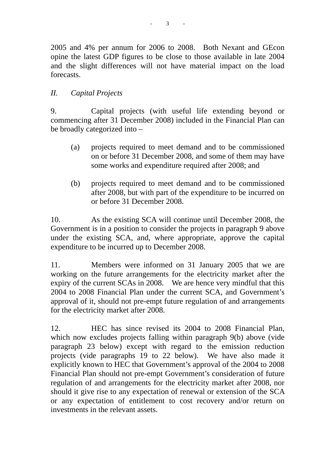2005 and 4% per annum for 2006 to 2008. Both Nexant and GEcon opine the latest GDP figures to be close to those available in late 2004 and the slight differences will not have material impact on the load forecasts.

# *II. Capital Projects*

9. Capital projects (with useful life extending beyond or commencing after 31 December 2008) included in the Financial Plan can be broadly categorized into –

- (a) projects required to meet demand and to be commissioned on or before 31 December 2008, and some of them may have some works and expenditure required after 2008; and
- (b) projects required to meet demand and to be commissioned after 2008, but with part of the expenditure to be incurred on or before 31 December 2008.

10. As the existing SCA will continue until December 2008, the Government is in a position to consider the projects in paragraph 9 above under the existing SCA, and, where appropriate, approve the capital expenditure to be incurred up to December 2008.

11. Members were informed on 31 January 2005 that we are working on the future arrangements for the electricity market after the expiry of the current SCAs in 2008. We are hence very mindful that this 2004 to 2008 Financial Plan under the current SCA, and Government's approval of it, should not pre-empt future regulation of and arrangements for the electricity market after 2008.

12. HEC has since revised its 2004 to 2008 Financial Plan, which now excludes projects falling within paragraph 9(b) above (vide paragraph 23 below) except with regard to the emission reduction projects (vide paragraphs 19 to 22 below). We have also made it explicitly known to HEC that Government's approval of the 2004 to 2008 Financial Plan should not pre-empt Government's consideration of future regulation of and arrangements for the electricity market after 2008, nor should it give rise to any expectation of renewal or extension of the SCA or any expectation of entitlement to cost recovery and/or return on investments in the relevant assets.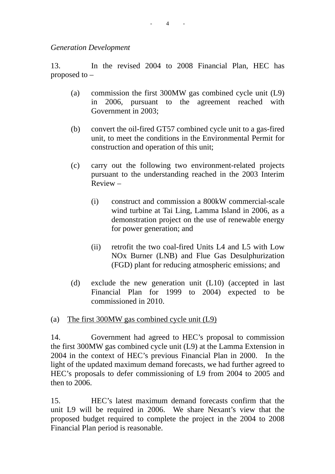*Generation Development* 

13. In the revised 2004 to 2008 Financial Plan, HEC has proposed to –

- (a) commission the first 300MW gas combined cycle unit (L9) in 2006, pursuant to the agreement reached with Government in 2003;
- (b) convert the oil-fired GT57 combined cycle unit to a gas-fired unit, to meet the conditions in the Environmental Permit for construction and operation of this unit;
- (c) carry out the following two environment-related projects pursuant to the understanding reached in the 2003 Interim Review –
	- (i) construct and commission a 800kW commercial-scale wind turbine at Tai Ling, Lamma Island in 2006, as a demonstration project on the use of renewable energy for power generation; and
	- (ii) retrofit the two coal-fired Units L4 and L5 with Low NOx Burner (LNB) and Flue Gas Desulphurization (FGD) plant for reducing atmospheric emissions; and
- (d) exclude the new generation unit (L10) (accepted in last Financial Plan for 1999 to 2004) expected to be commissioned in 2010.
- (a) The first 300MW gas combined cycle unit (L9)

14. Government had agreed to HEC's proposal to commission the first 300MW gas combined cycle unit (L9) at the Lamma Extension in 2004 in the context of HEC's previous Financial Plan in 2000. In the light of the updated maximum demand forecasts, we had further agreed to HEC's proposals to defer commissioning of L9 from 2004 to 2005 and then to 2006.

15. HEC's latest maximum demand forecasts confirm that the unit L9 will be required in 2006. We share Nexant's view that the proposed budget required to complete the project in the 2004 to 2008 Financial Plan period is reasonable.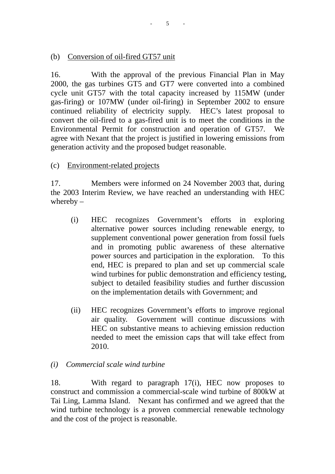#### (b) Conversion of oil-fired GT57 unit

16. With the approval of the previous Financial Plan in May 2000, the gas turbines GT5 and GT7 were converted into a combined cycle unit GT57 with the total capacity increased by 115MW (under gas-firing) or 107MW (under oil-firing) in September 2002 to ensure continued reliability of electricity supply. HEC's latest proposal to convert the oil-fired to a gas-fired unit is to meet the conditions in the Environmental Permit for construction and operation of GT57. We agree with Nexant that the project is justified in lowering emissions from generation activity and the proposed budget reasonable.

#### (c) Environment-related projects

17. Members were informed on 24 November 2003 that, during the 2003 Interim Review, we have reached an understanding with HEC whereby –

- (i) HEC recognizes Government's efforts in exploring alternative power sources including renewable energy, to supplement conventional power generation from fossil fuels and in promoting public awareness of these alternative power sources and participation in the exploration. To this end, HEC is prepared to plan and set up commercial scale wind turbines for public demonstration and efficiency testing, subject to detailed feasibility studies and further discussion on the implementation details with Government; and
- (ii) HEC recognizes Government's efforts to improve regional air quality. Government will continue discussions with HEC on substantive means to achieving emission reduction needed to meet the emission caps that will take effect from 2010.

#### *(i) Commercial scale wind turbine*

18. With regard to paragraph 17(i), HEC now proposes to construct and commission a commercial-scale wind turbine of 800kW at Tai Ling, Lamma Island. Nexant has confirmed and we agreed that the wind turbine technology is a proven commercial renewable technology and the cost of the project is reasonable.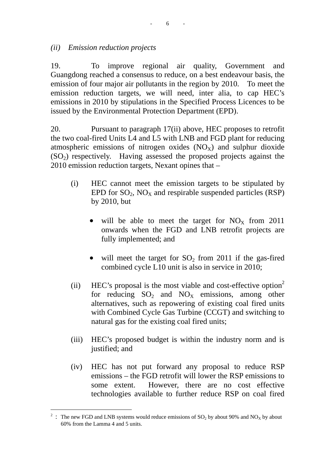#### *(ii) Emission reduction projects*

19. To improve regional air quality, Government and Guangdong reached a consensus to reduce, on a best endeavour basis, the emission of four major air pollutants in the region by 2010. To meet the emission reduction targets, we will need, inter alia, to cap HEC's emissions in 2010 by stipulations in the Specified Process Licences to be issued by the Environmental Protection Department (EPD).

20. Pursuant to paragraph 17(ii) above, HEC proposes to retrofit the two coal-fired Units L4 and L5 with LNB and FGD plant for reducing atmospheric emissions of nitrogen oxides  $(NO<sub>X</sub>)$  and sulphur dioxide  $(SO<sub>2</sub>)$  respectively. Having assessed the proposed projects against the 2010 emission reduction targets, Nexant opines that –

- (i) HEC cannot meet the emission targets to be stipulated by EPD for  $SO_2$ ,  $NO_X$  and respirable suspended particles (RSP) by 2010, but
	- will be able to meet the target for  $NO<sub>x</sub>$  from 2011 onwards when the FGD and LNB retrofit projects are fully implemented; and
	- will meet the target for  $SO_2$  from 2011 if the gas-fired combined cycle L10 unit is also in service in 2010;
- (ii) HEC's proposal is the most viable and cost-effective option<sup>2</sup> for reducing  $SO_2$  and  $NO_x$  emissions, among other alternatives, such as repowering of existing coal fired units with Combined Cycle Gas Turbine (CCGT) and switching to natural gas for the existing coal fired units;
- (iii) HEC's proposed budget is within the industry norm and is justified; and
- (iv) HEC has not put forward any proposal to reduce RSP emissions – the FGD retrofit will lower the RSP emissions to some extent. However, there are no cost effective technologies available to further reduce RSP on coal fired

 $\overline{a}$ 

<sup>&</sup>lt;sup>2</sup> : The new FGD and LNB systems would reduce emissions of  $SO_2$  by about 90% and NO<sub>X</sub> by about 60% from the Lamma 4 and 5 units.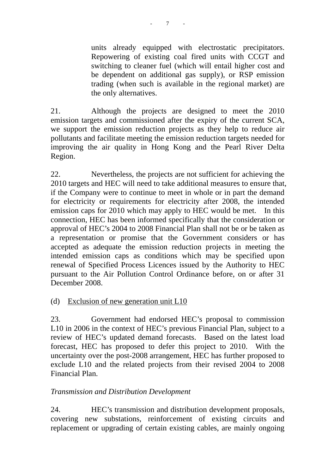units already equipped with electrostatic precipitators. Repowering of existing coal fired units with CCGT and switching to cleaner fuel (which will entail higher cost and be dependent on additional gas supply), or RSP emission trading (when such is available in the regional market) are the only alternatives.

21. Although the projects are designed to meet the 2010 emission targets and commissioned after the expiry of the current SCA, we support the emission reduction projects as they help to reduce air pollutants and facilitate meeting the emission reduction targets needed for improving the air quality in Hong Kong and the Pearl River Delta Region.

22. Nevertheless, the projects are not sufficient for achieving the 2010 targets and HEC will need to take additional measures to ensure that, if the Company were to continue to meet in whole or in part the demand for electricity or requirements for electricity after 2008, the intended emission caps for 2010 which may apply to HEC would be met. In this connection, HEC has been informed specifically that the consideration or approval of HEC's 2004 to 2008 Financial Plan shall not be or be taken as a representation or promise that the Government considers or has accepted as adequate the emission reduction projects in meeting the intended emission caps as conditions which may be specified upon renewal of Specified Process Licences issued by the Authority to HEC pursuant to the Air Pollution Control Ordinance before, on or after 31 December 2008.

## (d) Exclusion of new generation unit L10

23. Government had endorsed HEC's proposal to commission L10 in 2006 in the context of HEC's previous Financial Plan, subject to a review of HEC's updated demand forecasts. Based on the latest load forecast, HEC has proposed to defer this project to 2010. With the uncertainty over the post-2008 arrangement, HEC has further proposed to exclude L10 and the related projects from their revised 2004 to 2008 Financial Plan.

# *Transmission and Distribution Development*

24. HEC's transmission and distribution development proposals, covering new substations, reinforcement of existing circuits and replacement or upgrading of certain existing cables, are mainly ongoing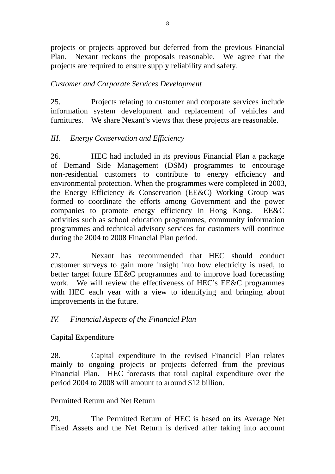projects or projects approved but deferred from the previous Financial Plan. Nexant reckons the proposals reasonable. We agree that the projects are required to ensure supply reliability and safety.

## *Customer and Corporate Services Development*

25. Projects relating to customer and corporate services include information system development and replacement of vehicles and furnitures. We share Nexant's views that these projects are reasonable.

## *III. Energy Conservation and Efficiency*

26. HEC had included in its previous Financial Plan a package of Demand Side Management (DSM) programmes to encourage non-residential customers to contribute to energy efficiency and environmental protection. When the programmes were completed in 2003, the Energy Efficiency & Conservation (EE&C) Working Group was formed to coordinate the efforts among Government and the power companies to promote energy efficiency in Hong Kong. EE&C activities such as school education programmes, community information programmes and technical advisory services for customers will continue during the 2004 to 2008 Financial Plan period.

27. Nexant has recommended that HEC should conduct customer surveys to gain more insight into how electricity is used, to better target future EE&C programmes and to improve load forecasting work. We will review the effectiveness of HEC's EE&C programmes with HEC each year with a view to identifying and bringing about improvements in the future.

## *IV. Financial Aspects of the Financial Plan*

Capital Expenditure

28. Capital expenditure in the revised Financial Plan relates mainly to ongoing projects or projects deferred from the previous Financial Plan. HEC forecasts that total capital expenditure over the period 2004 to 2008 will amount to around \$12 billion.

Permitted Return and Net Return

29. The Permitted Return of HEC is based on its Average Net Fixed Assets and the Net Return is derived after taking into account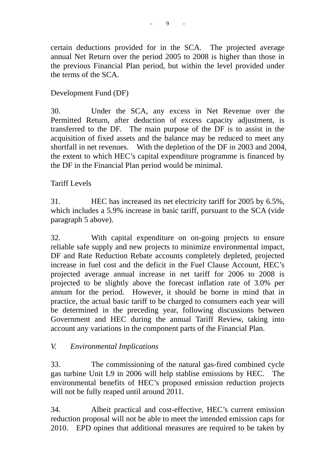certain deductions provided for in the SCA. The projected average annual Net Return over the period 2005 to 2008 is higher than those in the previous Financial Plan period, but within the level provided under the terms of the SCA.

# Development Fund (DF)

30. Under the SCA, any excess in Net Revenue over the Permitted Return, after deduction of excess capacity adjustment, is transferred to the DF. The main purpose of the DF is to assist in the acquisition of fixed assets and the balance may be reduced to meet any shortfall in net revenues. With the depletion of the DF in 2003 and 2004, the extent to which HEC's capital expenditure programme is financed by the DF in the Financial Plan period would be minimal.

# Tariff Levels

31. HEC has increased its net electricity tariff for 2005 by 6.5%, which includes a 5.9% increase in basic tariff, pursuant to the SCA (vide paragraph 5 above).

32. With capital expenditure on on-going projects to ensure reliable safe supply and new projects to minimize environmental impact, DF and Rate Reduction Rebate accounts completely depleted, projected increase in fuel cost and the deficit in the Fuel Clause Account, HEC's projected average annual increase in net tariff for 2006 to 2008 is projected to be slightly above the forecast inflation rate of 3.0% per annum for the period. However, it should be borne in mind that in practice, the actual basic tariff to be charged to consumers each year will be determined in the preceding year, following discussions between Government and HEC during the annual Tariff Review, taking into account any variations in the component parts of the Financial Plan.

# *V. Environmental Implications*

33. The commissioning of the natural gas-fired combined cycle gas turbine Unit L9 in 2006 will help stablise emissions by HEC. The environmental benefits of HEC's proposed emission reduction projects will not be fully reaped until around 2011.

34. Albeit practical and cost-effective, HEC's current emission reduction proposal will not be able to meet the intended emission caps for 2010. EPD opines that additional measures are required to be taken by